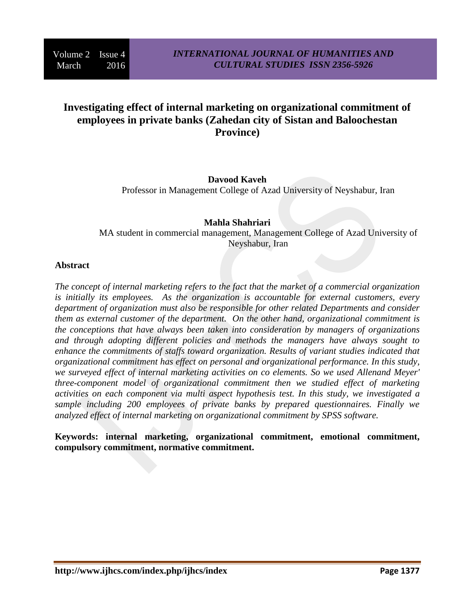# **Investigating effect of internal marketing on organizational commitment of employees in private banks (Zahedan city of Sistan and Baloochestan Province)**

## **Davood Kaveh** Professor in Management College of Azad University of Neyshabur, Iran

#### **Mahla Shahriari** MA student in commercial management, Management College of Azad University of Neyshabur, Iran

#### **Abstract**

*The concept of internal marketing refers to the fact that the market of a commercial organization is initially its employees. As the organization is accountable for external customers, every department of organization must also be responsible for other related Departments and consider them as external customer of the department. On the other hand, organizational commitment is the conceptions that have always been taken into consideration by managers of organizations and through adopting different policies and methods the managers have always sought to enhance the commitments of staffs toward organization. Results of variant studies indicated that organizational commitment has effect on personal and organizational performance. In this study, we surveyed effect of internal marketing activities on co elements. So we used Allenand Meyer' three*-*component model of organizational commitment then we studied effect of marketing activities on each component via multi aspect hypothesis test. In this study, we investigated a sample including 200 employees of private banks by prepared questionnaires. Finally we analyzed effect of internal marketing on organizational commitment by SPSS software.*

**Keywords: internal marketing, organizational commitment, emotional commitment, compulsory commitment, normative commitment.**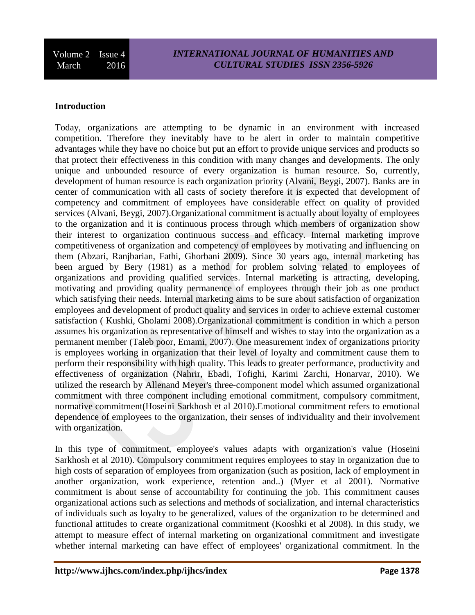### *INTERNATIONAL JOURNAL OF HUMANITIES AND CULTURAL STUDIES ISSN 2356-5926*

#### **Introduction**

Today, organizations are attempting to be dynamic in an environment with increased competition. Therefore they inevitably have to be alert in order to maintain competitive advantages while they have no choice but put an effort to provide unique services and products so that protect their effectiveness in this condition with many changes and developments. The only unique and unbounded resource of every organization is human resource. So, currently, development of human resource is each organization priority (Alvani, Beygi, 2007). Banks are in center of communication with all casts of society therefore it is expected that development of competency and commitment of employees have considerable effect on quality of provided services (Alvani, Beygi, 2007).Organizational commitment is actually about loyalty of employees to the organization and it is continuous process through which members of organization show their interest to organization continuous success and efficacy. Internal marketing improve competitiveness of organization and competency of employees by motivating and influencing on them (Abzari, Ranjbarian, Fathi, Ghorbani 2009). Since 30 years ago, internal marketing has been argued by Bery (1981) as a method for problem solving related to employees of organizations and providing qualified services. Internal marketing is attracting, developing, motivating and providing quality permanence of employees through their job as one product which satisfying their needs. Internal marketing aims to be sure about satisfaction of organization employees and development of product quality and services in order to achieve external customer satisfaction ( Kushki, Gholami 2008).Organizational commitment is condition in which a person assumes his organization as representative of himself and wishes to stay into the organization as a permanent member (Taleb poor, Emami, 2007). One measurement index of organizations priority is employees working in organization that their level of loyalty and commitment cause them to perform their responsibility with high quality. This leads to greater performance, productivity and effectiveness of organization (Nahrir, Ebadi, Tofighi, Karimi Zarchi, Honarvar, 2010). We utilized the research by Allenand Meyer's three-component model which assumed organizational commitment with three component including emotional commitment, compulsory commitment, normative commitment(Hoseini Sarkhosh et al 2010).Emotional commitment refers to emotional dependence of employees to the organization, their senses of individuality and their involvement with organization.

In this type of commitment, employee's values adapts with organization's value (Hoseini Sarkhosh et al 2010). Compulsory commitment requires employees to stay in organization due to high costs of separation of employees from organization (such as position, lack of employment in another organization, work experience, retention and..) (Myer et al 2001). Normative commitment is about sense of accountability for continuing the job. This commitment causes organizational actions such as selections and methods of socialization, and internal characteristics of individuals such as loyalty to be generalized, values of the organization to be determined and functional attitudes to create organizational commitment (Kooshki et al 2008). In this study, we attempt to measure effect of internal marketing on organizational commitment and investigate whether internal marketing can have effect of employees' organizational commitment. In the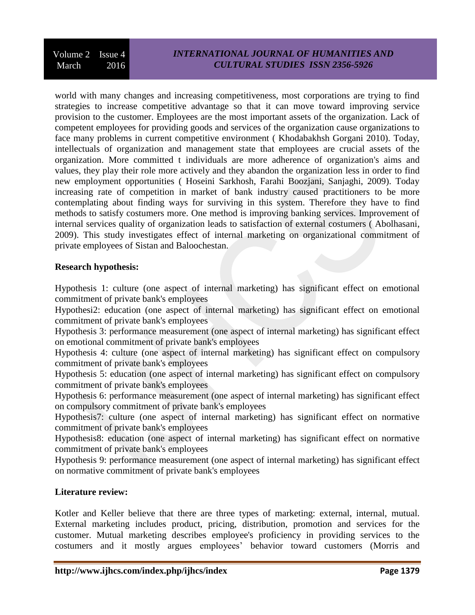## *INTERNATIONAL JOURNAL OF HUMANITIES AND CULTURAL STUDIES ISSN 2356-5926*

world with many changes and increasing competitiveness, most corporations are trying to find strategies to increase competitive advantage so that it can move toward improving service provision to the customer. Employees are the most important assets of the organization. Lack of competent employees for providing goods and services of the organization cause organizations to face many problems in current competitive environment ( Khodabakhsh Gorgani 2010). Today, intellectuals of organization and management state that employees are crucial assets of the organization. More committed t individuals are more adherence of organization's aims and values, they play their role more actively and they abandon the organization less in order to find new employment opportunities ( Hoseini Sarkhosh, Farahi Boozjani, Sanjaghi, 2009). Today increasing rate of competition in market of bank industry caused practitioners to be more contemplating about finding ways for surviving in this system. Therefore they have to find methods to satisfy costumers more. One method is improving banking services. Improvement of internal services quality of organization leads to satisfaction of external costumers ( Abolhasani, 2009). This study investigates effect of internal marketing on organizational commitment of private employees of Sistan and Baloochestan.

#### **Research hypothesis:**

Hypothesis 1: culture (one aspect of internal marketing) has significant effect on emotional commitment of private bank's employees

Hypothesi2: education (one aspect of internal marketing) has significant effect on emotional commitment of private bank's employees

Hypothesis 3: performance measurement (one aspect of internal marketing) has significant effect on emotional commitment of private bank's employees

Hypothesis 4: culture (one aspect of internal marketing) has significant effect on compulsory commitment of private bank's employees

Hypothesis 5: education (one aspect of internal marketing) has significant effect on compulsory commitment of private bank's employees

Hypothesis 6: performance measurement (one aspect of internal marketing) has significant effect on compulsory commitment of private bank's employees

Hypothesis7: culture (one aspect of internal marketing) has significant effect on normative commitment of private bank's employees

Hypothesis8: education (one aspect of internal marketing) has significant effect on normative commitment of private bank's employees

Hypothesis 9: performance measurement (one aspect of internal marketing) has significant effect on normative commitment of private bank's employees

#### **Literature review:**

Kotler and Keller believe that there are three types of marketing: external, internal, mutual. External marketing includes product, pricing, distribution, promotion and services for the customer. Mutual marketing describes employee's proficiency in providing services to the costumers and it mostly argues employees' behavior toward customers (Morris and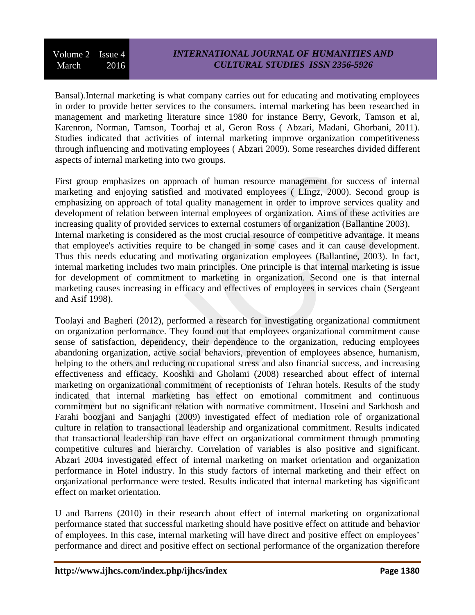Bansal).Internal marketing is what company carries out for educating and motivating employees in order to provide better services to the consumers. internal marketing has been researched in management and marketing literature since 1980 for instance Berry, Gevork, Tamson et al, Karenron, Norman, Tamson, Toorhaj et al, Geron Ross ( Abzari, Madani, Ghorbani, 2011). Studies indicated that activities of internal marketing improve organization competitiveness through influencing and motivating employees ( Abzari 2009). Some researches divided different aspects of internal marketing into two groups.

First group emphasizes on approach of human resource management for success of internal marketing and enjoying satisfied and motivated employees ( LIngz, 2000). Second group is emphasizing on approach of total quality management in order to improve services quality and development of relation between internal employees of organization. Aims of these activities are increasing quality of provided services to external costumers of organization (Ballantine 2003). Internal marketing is considered as the most crucial resource of competitive advantage. It means that employee's activities require to be changed in some cases and it can cause development. Thus this needs educating and motivating organization employees (Ballantine, 2003). In fact, internal marketing includes two main principles. One principle is that internal marketing is issue for development of commitment to marketing in organization. Second one is that internal marketing causes increasing in efficacy and effectives of employees in services chain (Sergeant and Asif 1998).

Toolayi and Bagheri (2012), performed a research for investigating organizational commitment on organization performance. They found out that employees organizational commitment cause sense of satisfaction, dependency, their dependence to the organization, reducing employees abandoning organization, active social behaviors, prevention of employees absence, humanism, helping to the others and reducing occupational stress and also financial success, and increasing effectiveness and efficacy. Kooshki and Gholami (2008) researched about effect of internal marketing on organizational commitment of receptionists of Tehran hotels. Results of the study indicated that internal marketing has effect on emotional commitment and continuous commitment but no significant relation with normative commitment. Hoseini and Sarkhosh and Farahi boozjani and Sanjaghi (2009) investigated effect of mediation role of organizational culture in relation to transactional leadership and organizational commitment. Results indicated that transactional leadership can have effect on organizational commitment through promoting competitive cultures and hierarchy. Correlation of variables is also positive and significant. Abzari 2004 investigated effect of internal marketing on market orientation and organization performance in Hotel industry. In this study factors of internal marketing and their effect on organizational performance were tested. Results indicated that internal marketing has significant effect on market orientation.

U and Barrens (2010) in their research about effect of internal marketing on organizational performance stated that successful marketing should have positive effect on attitude and behavior of employees. In this case, internal marketing will have direct and positive effect on employees' performance and direct and positive effect on sectional performance of the organization therefore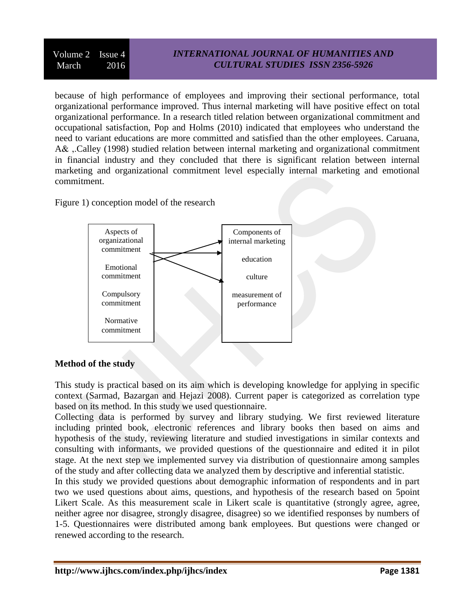## *INTERNATIONAL JOURNAL OF HUMANITIES AND CULTURAL STUDIES ISSN 2356-5926*

because of high performance of employees and improving their sectional performance, total organizational performance improved. Thus internal marketing will have positive effect on total organizational performance. In a research titled relation between organizational commitment and occupational satisfaction, Pop and Holms (2010) indicated that employees who understand the need to variant educations are more committed and satisfied than the other employees. Caruana, A& ,.Calley (1998) studied relation between internal marketing and organizational commitment in financial industry and they concluded that there is significant relation between internal marketing and organizational commitment level especially internal marketing and emotional commitment.

Figure 1) conception model of the research



### **Method of the study**

This study is practical based on its aim which is developing knowledge for applying in specific context (Sarmad, Bazargan and Hejazi 2008). Current paper is categorized as correlation type based on its method. In this study we used questionnaire.

Collecting data is performed by survey and library studying. We first reviewed literature including printed book, electronic references and library books then based on aims and hypothesis of the study, reviewing literature and studied investigations in similar contexts and consulting with informants, we provided questions of the questionnaire and edited it in pilot stage. At the next step we implemented survey via distribution of questionnaire among samples of the study and after collecting data we analyzed them by descriptive and inferential statistic.

In this study we provided questions about demographic information of respondents and in part two we used questions about aims, questions, and hypothesis of the research based on 5point Likert Scale. As this measurement scale in Likert scale is quantitative (strongly agree, agree, neither agree nor disagree, strongly disagree, disagree) so we identified responses by numbers of 1-5. Questionnaires were distributed among bank employees. But questions were changed or renewed according to the research.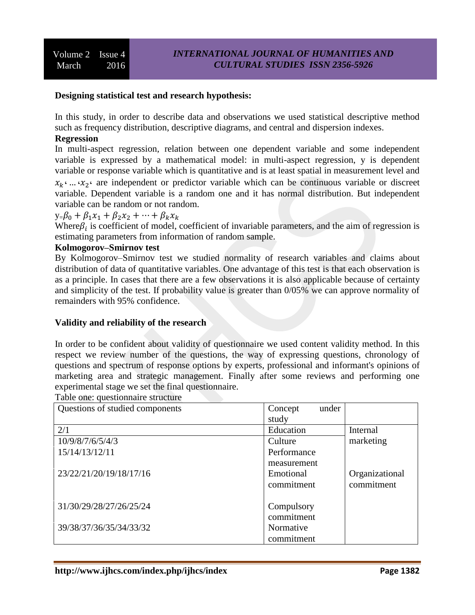#### **Designing statistical test and research hypothesis:**

In this study, in order to describe data and observations we used statistical descriptive method such as frequency distribution, descriptive diagrams, and central and dispersion indexes.

## **Regression**

In multi-aspect regression, relation between one dependent variable and some independent variable is expressed by a mathematical model: in multi-aspect regression, y is dependent variable or response variable which is quantitative and is at least spatial in measurement level and

 $x_k$ <sup>, ...</sup>  $x_2$ <sup>,</sup> are independent or predictor variable which can be continuous variable or discreet variable. Dependent variable is a random one and it has normal distribution. But independent variable can be random or not random.

 $y=\beta_0 + \beta_1 x_1 + \beta_2 x_2 + \cdots + \beta_k x_k$ 

Where  $\beta_i$  is coefficient of model, coefficient of invariable parameters, and the aim of regression is estimating parameters from information of random sample.

#### **Kolmogorov–Smirnov test**

By Kolmogorov–Smirnov test we studied normality of research variables and claims about distribution of data of quantitative variables. One advantage of this test is that each observation is as a principle. In cases that there are a few observations it is also applicable because of certainty and simplicity of the test. If probability value is greater than 0/05% we can approve normality of remainders with 95% confidence.

#### **Validity and reliability of the research**

In order to be confident about validity of questionnaire we used content validity method. In this respect we review number of the questions, the way of expressing questions, chronology of questions and spectrum of response options by experts, professional and informant's opinions of marketing area and strategic management. Finally after some reviews and performing one experimental stage we set the final questionnaire.

Table one: questionnaire structure Concept under study Questions of studied components Internal marketing 2/1 Education 10/9/8/7/6/5/4/3 Culture Performance measurement 15/14/13/12/11 Organizational commitment Emotional commitment 23/22/21/20/19/18/17/16 **Compulsory** commitment 31/30/29/28/27/26/25/24 Normative commitment 39/38/37/36/35/34/33/32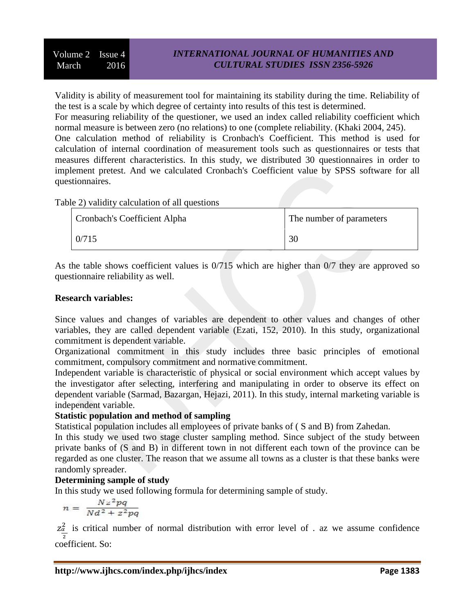Validity is ability of measurement tool for maintaining its stability during the time. Reliability of the test is a scale by which degree of certainty into results of this test is determined.

For measuring reliability of the questioner, we used an index called reliability coefficient which normal measure is between zero (no relations) to one (complete reliability. (Khaki 2004, 245).

One calculation method of reliability is Cronbach's Coefficient. This method is used for calculation of internal coordination of measurement tools such as questionnaires or tests that measures different characteristics. In this study, we distributed 30 questionnaires in order to implement pretest. And we calculated Cronbach's Coefficient value by SPSS software for all questionnaires.

Table 2) validity calculation of all questions

| <b>Cronbach's Coefficient Alpha</b> | The number of parameters |
|-------------------------------------|--------------------------|
| 0/715                               | 30                       |

As the table shows coefficient values is 0/715 which are higher than 0/7 they are approved so questionnaire reliability as well.

### **Research variables:**

Since values and changes of variables are dependent to other values and changes of other variables, they are called dependent variable (Ezati, 152, 2010). In this study, organizational commitment is dependent variable.

Organizational commitment in this study includes three basic principles of emotional commitment, compulsory commitment and normative commitment.

Independent variable is characteristic of physical or social environment which accept values by the investigator after selecting, interfering and manipulating in order to observe its effect on dependent variable (Sarmad, Bazargan, Hejazi, 2011). In this study, internal marketing variable is independent variable.

## **Statistic population and method of sampling**

Statistical population includes all employees of private banks of ( S and B) from Zahedan.

In this study we used two stage cluster sampling method. Since subject of the study between private banks of (S and B) in different town in not different each town of the province can be regarded as one cluster. The reason that we assume all towns as a cluster is that these banks were randomly spreader.

## **Determining sample of study**

In this study we used following formula for determining sample of study.

$$
n = \frac{Nz^2pq}{Nd^2 + z^2pq}
$$

 $z_{\alpha}^2$  is critical number of normal distribution with error level of . az we assume confidence  $\overline{\mathbf{c}}$ coefficient. So: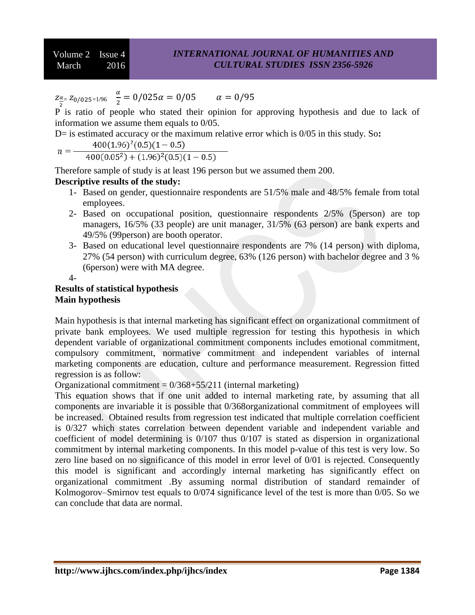$Z_{\frac{\alpha}{2}} = Z_0/025=1/96$   $\frac{\alpha}{2}$  $\frac{a}{2}$  =

P is ratio of people who stated their opinion for approving hypothesis and due to lack of information we assume them equals to 0/05.

D= is estimated accuracy or the maximum relative error which is 0/05 in this study. So:<br> $n = \frac{400(1.96)^2(0.5)(1 - 0.5)}{400(0.05^2) + (1.96)^2(0.5)(1 - 0.5)}$ 

Therefore sample of study is at least 196 person but we assumed them 200.

## **Descriptive results of the study:**

- 1- Based on gender, questionnaire respondents are 51/5% male and 48/5% female from total employees.
- 2- Based on occupational position, questionnaire respondents 2/5% (5person) are top managers, 16/5% (33 people) are unit manager, 31/5% (63 person) are bank experts and 49/5% (99person) are booth operator.
- 3- Based on educational level questionnaire respondents are 7% (14 person) with diploma, 27% (54 person) with curriculum degree, 63% (126 person) with bachelor degree and 3 % (6person) were with MA degree.

 $\mathbf{I}$ 

## **Results of statistical hypothesis Main hypothesis**

Main hypothesis is that internal marketing has significant effect on organizational commitment of private bank employees. We used multiple regression for testing this hypothesis in which dependent variable of organizational commitment components includes emotional commitment, compulsory commitment, normative commitment and independent variables of internal marketing components are education, culture and performance measurement. Regression fitted regression is as follow:

Organizational commitment =  $0/368+55/211$  (internal marketing)

This equation shows that if one unit added to internal marketing rate, by assuming that all components are invariable it is possible that 0/368organizational commitment of employees will be increased. Obtained results from regression test indicated that multiple correlation coefficient is 0/327 which states correlation between dependent variable and independent variable and coefficient of model determining is 0/107 thus 0/107 is stated as dispersion in organizational commitment by internal marketing components. In this model p-value of this test is very low. So zero line based on no significance of this model in error level of 0/01 is rejected. Consequently this model is significant and accordingly internal marketing has significantly effect on organizational commitment .By assuming normal distribution of standard remainder of Kolmogorov–Smirnov test equals to 0/074 significance level of the test is more than 0/05. So we can conclude that data are normal.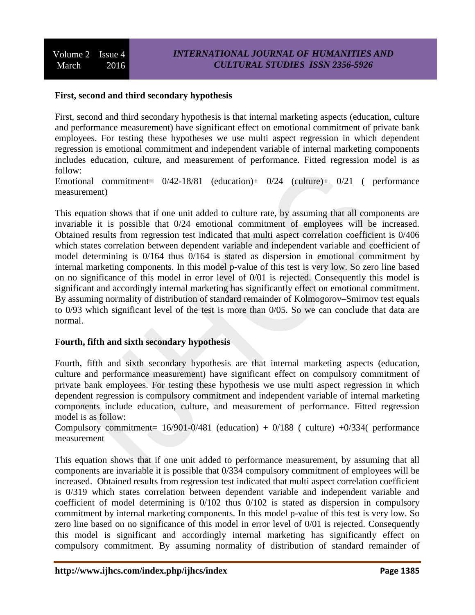### **First, second and third secondary hypothesis**

First, second and third secondary hypothesis is that internal marketing aspects (education, culture and performance measurement) have significant effect on emotional commitment of private bank employees. For testing these hypotheses we use multi aspect regression in which dependent regression is emotional commitment and independent variable of internal marketing components includes education, culture, and measurement of performance. Fitted regression model is as follow:

Emotional commitment= 0/42-18/81 (education)+ 0/24 (culture)+ 0/21 ( performance measurement)

This equation shows that if one unit added to culture rate, by assuming that all components are invariable it is possible that 0/24 emotional commitment of employees will be increased. Obtained results from regression test indicated that multi aspect correlation coefficient is 0/406 which states correlation between dependent variable and independent variable and coefficient of model determining is 0/164 thus 0/164 is stated as dispersion in emotional commitment by internal marketing components. In this model p-value of this test is very low. So zero line based on no significance of this model in error level of 0/01 is rejected. Consequently this model is significant and accordingly internal marketing has significantly effect on emotional commitment. By assuming normality of distribution of standard remainder of Kolmogorov–Smirnov test equals to 0/93 which significant level of the test is more than 0/05. So we can conclude that data are normal.

### **Fourth, fifth and sixth secondary hypothesis**

Fourth, fifth and sixth secondary hypothesis are that internal marketing aspects (education, culture and performance measurement) have significant effect on compulsory commitment of private bank employees. For testing these hypothesis we use multi aspect regression in which dependent regression is compulsory commitment and independent variable of internal marketing components include education, culture, and measurement of performance. Fitted regression model is as follow:

Compulsory commitment=  $16/901-0/481$  (education) +  $0/188$  ( culture) +0/334( performance measurement

This equation shows that if one unit added to performance measurement, by assuming that all components are invariable it is possible that 0/334 compulsory commitment of employees will be increased. Obtained results from regression test indicated that multi aspect correlation coefficient is 0/319 which states correlation between dependent variable and independent variable and coefficient of model determining is 0/102 thus 0/102 is stated as dispersion in compulsory commitment by internal marketing components. In this model p-value of this test is very low. So zero line based on no significance of this model in error level of 0/01 is rejected. Consequently this model is significant and accordingly internal marketing has significantly effect on compulsory commitment. By assuming normality of distribution of standard remainder of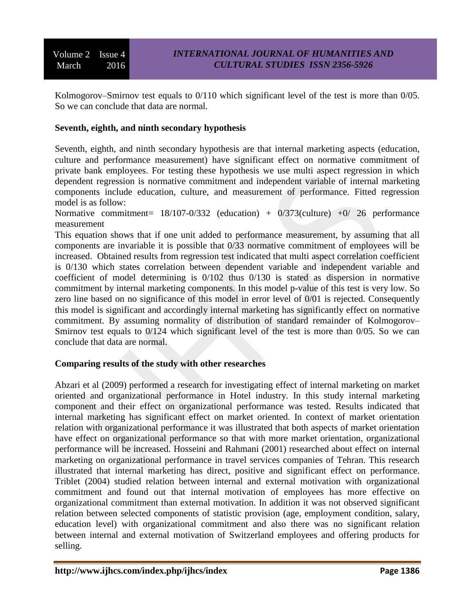Kolmogorov–Smirnov test equals to 0/110 which significant level of the test is more than 0/05. So we can conclude that data are normal.

## **Seventh, eighth, and ninth secondary hypothesis**

Seventh, eighth, and ninth secondary hypothesis are that internal marketing aspects (education, culture and performance measurement) have significant effect on normative commitment of private bank employees. For testing these hypothesis we use multi aspect regression in which dependent regression is normative commitment and independent variable of internal marketing components include education, culture, and measurement of performance. Fitted regression model is as follow:

Normative commitment=  $18/107 - 0/332$  (education) +  $0/373$ (culture) +0/ 26 performance measurement

This equation shows that if one unit added to performance measurement, by assuming that all components are invariable it is possible that 0/33 normative commitment of employees will be increased. Obtained results from regression test indicated that multi aspect correlation coefficient is 0/130 which states correlation between dependent variable and independent variable and coefficient of model determining is 0/102 thus 0/130 is stated as dispersion in normative commitment by internal marketing components. In this model p-value of this test is very low. So zero line based on no significance of this model in error level of 0/01 is rejected. Consequently this model is significant and accordingly internal marketing has significantly effect on normative commitment. By assuming normality of distribution of standard remainder of Kolmogorov– Smirnov test equals to  $0/124$  which significant level of the test is more than  $0/05$ . So we can conclude that data are normal.

### **Comparing results of the study with other researches**

Abzari et al (2009) performed a research for investigating effect of internal marketing on market oriented and organizational performance in Hotel industry. In this study internal marketing component and their effect on organizational performance was tested. Results indicated that internal marketing has significant effect on market oriented. In context of market orientation relation with organizational performance it was illustrated that both aspects of market orientation have effect on organizational performance so that with more market orientation, organizational performance will be increased. Hosseini and Rahmani (2001) researched about effect on internal marketing on organizational performance in travel services companies of Tehran. This research illustrated that internal marketing has direct, positive and significant effect on performance. Triblet (2004) studied relation between internal and external motivation with organizational commitment and found out that internal motivation of employees has more effective on organizational commitment than external motivation. In addition it was not observed significant relation between selected components of statistic provision (age, employment condition, salary, education level) with organizational commitment and also there was no significant relation between internal and external motivation of Switzerland employees and offering products for selling.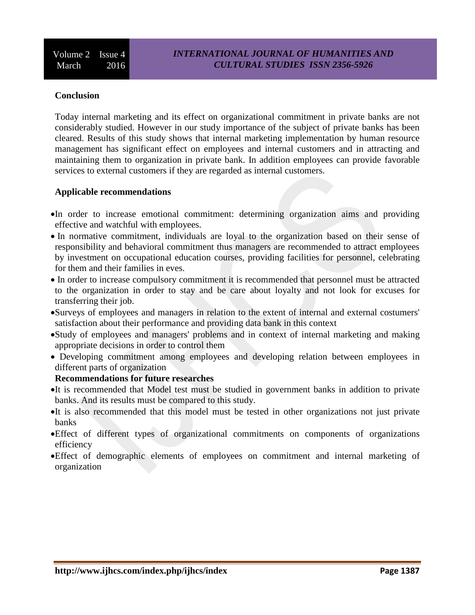#### **Conclusion**

Today internal marketing and its effect on organizational commitment in private banks are not considerably studied. However in our study importance of the subject of private banks has been cleared. Results of this study shows that internal marketing implementation by human resource management has significant effect on employees and internal customers and in attracting and maintaining them to organization in private bank. In addition employees can provide favorable services to external customers if they are regarded as internal customers.

#### **Applicable recommendations**

- In order to increase emotional commitment: determining organization aims and providing effective and watchful with employees.
- In normative commitment, individuals are loyal to the organization based on their sense of responsibility and behavioral commitment thus managers are recommended to attract employees by investment on occupational education courses, providing facilities for personnel, celebrating for them and their families in eves.
- In order to increase compulsory commitment it is recommended that personnel must be attracted to the organization in order to stay and be care about loyalty and not look for excuses for transferring their job.
- Surveys of employees and managers in relation to the extent of internal and external costumers' satisfaction about their performance and providing data bank in this context
- Study of employees and managers' problems and in context of internal marketing and making appropriate decisions in order to control them
- Developing commitment among employees and developing relation between employees in different parts of organization

#### **Recommendations for future researches**

- It is recommended that Model test must be studied in government banks in addition to private banks. And its results must be compared to this study.
- It is also recommended that this model must be tested in other organizations not just private banks
- Effect of different types of organizational commitments on components of organizations efficiency
- Effect of demographic elements of employees on commitment and internal marketing of organization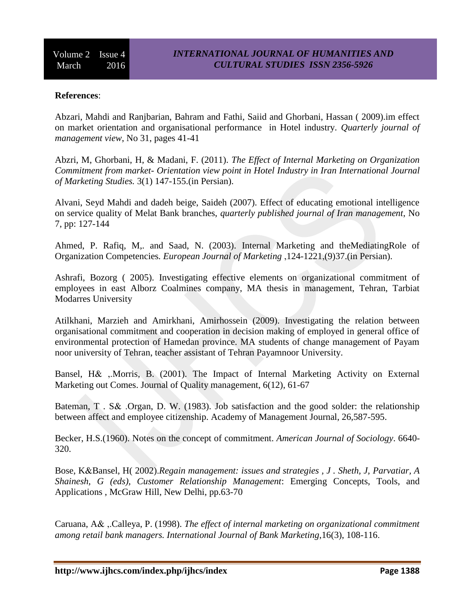#### **References**:

Abzari, Mahdi and Ranjbarian, Bahram and Fathi, Saiid and Ghorbani, Hassan ( 2009).im effect on market orientation and organisational performance in Hotel industry. *Quarterly journal of management view*, No 31, pages 41-41

Abzri, M, Ghorbani, H, & Madani, F. (2011). *The Effect of Internal Marketing on Organization Commitment from market- Orientation view point in Hotel Industry in Iran International Journal of Marketing Studies.* 3(1) 147-155.(in Persian).

Alvani, Seyd Mahdi and dadeh beige, Saideh (2007). Effect of educating emotional intelligence on service quality of Melat Bank branches, *quarterly published journal of Iran management*, No 7, pp: 127-144

Ahmed, P. Rafiq, M,. and Saad, N. (2003). Internal Marketing and theMediatingRole of Organization Competencies*. European Journal of Marketing* ,124-1221,(9)37.(in Persian).

Ashrafi, Bozorg ( 2005). Investigating effective elements on organizational commitment of employees in east Alborz Coalmines company, MA thesis in management, Tehran, Tarbiat Modarres University

Atilkhani, Marzieh and Amirkhani, Amirhossein (2009). Investigating the relation between organisational commitment and cooperation in decision making of employed in general office of environmental protection of Hamedan province. MA students of change management of Payam noor university of Tehran, teacher assistant of Tehran Payamnoor University.

Bansel, H& ,.Morris, B. (2001). The Impact of Internal Marketing Activity on External Marketing out Comes. Journal of Quality management, 6(12), 61-67

Bateman, T . S& .Organ, D. W. (1983). Job satisfaction and the good solder: the relationship between affect and employee citizenship. Academy of Management Journal, 26,587-595.

Becker, H.S.(1960). Notes on the concept of commitment. *American Journal of Sociology*. 6640- 320.

Bose, K&Bansel, H( 2002).*Regain management: issues and strategies , J . Sheth, J, Parvatiar, A Shainesh, G (eds), Customer Relationship Management*: Emerging Concepts, Tools, and Applications , McGraw Hill, New Delhi, pp.63-70

Caruana, A& ,.Calleya, P. (1998). *The effect of internal marketing on organizational commitment among retail bank managers. International Journal of Bank Marketing*,16(3), 108-116.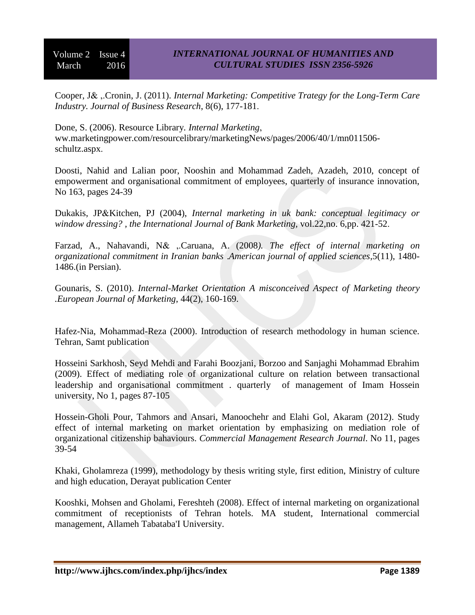Cooper, J& ,.Cronin, J. (2011). *Internal Marketing: Competitive Trategy for the Long-Term Care Industry. Journal of Business Research*, 8(6), 177-181.

Done, S. (2006). Resource Library*. Internal Marketing*, ww.marketingpower.com/resourcelibrary/marketingNews/pages/2006/40/1/mn011506 schultz.aspx.

Doosti, Nahid and Lalian poor, Nooshin and Mohammad Zadeh, Azadeh, 2010, concept of empowerment and organisational commitment of employees, quarterly of insurance innovation, No 163, pages 24-39

Dukakis, JP&Kitchen, PJ (2004), *Internal marketing in uk bank: conceptual legitimacy or window dressing? , the International Journal of Bank Marketing,* vol.22,no. 6,pp. 421-52.

Farzad, A., Nahavandi, N& ,.Caruana, A. (2008*). The effect of internal marketing on organizational commitment in Iranian banks* .*American journal of applied sciences*,5(11), 1480- 1486.(in Persian).

Gounaris, S. (2010). *Internal-Market Orientation A misconceived Aspect of Marketing theory .European Journal of Marketing*, 44(2), 160-169.

Hafez-Nia, Mohammad-Reza (2000). Introduction of research methodology in human science. Tehran, Samt publication

Hosseini Sarkhosh, Seyd Mehdi and Farahi Boozjani, Borzoo and Sanjaghi Mohammad Ebrahim (2009). Effect of mediating role of organizational culture on relation between transactional leadership and organisational commitment . quarterly of management of Imam Hossein university, No 1, pages 87-105

Hossein-Gholi Pour, Tahmors and Ansari, Manoochehr and Elahi Gol, Akaram (2012). Study effect of internal marketing on market orientation by emphasizing on mediation role of organizational citizenship bahaviours. *Commercial Management Research Journal*. No 11, pages 39-54

Khaki, Gholamreza (1999), methodology by thesis writing style, first edition, Ministry of culture and high education, Derayat publication Center

Kooshki, Mohsen and Gholami, Fereshteh (2008). Effect of internal marketing on organizational commitment of receptionists of Tehran hotels. MA student, International commercial management, Allameh Tabataba'I University.